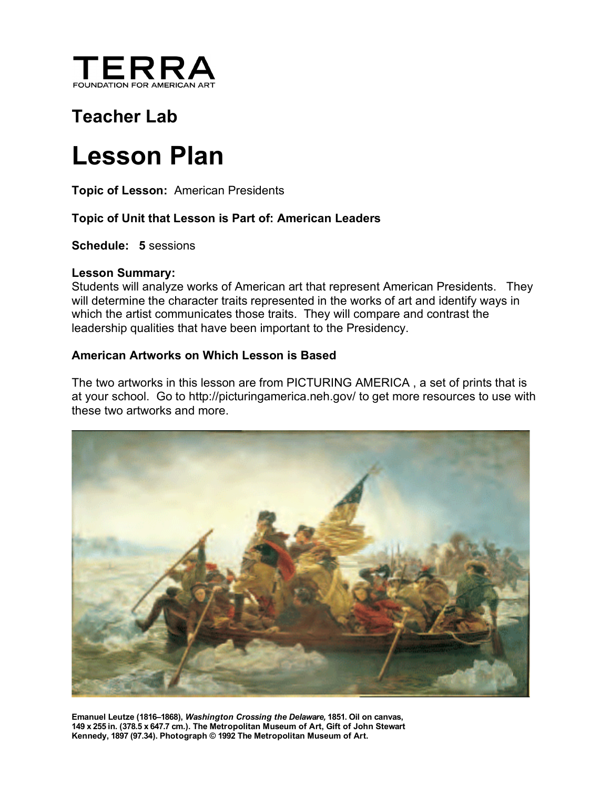

# **Teacher Lab**

# **Lesson Plan**

**Topic of Lesson:** American Presidents

#### **Topic of Unit that Lesson is Part of: American Leaders**

**Schedule: 5** sessions

#### **Lesson Summary:**

Students will analyze works of American art that represent American Presidents. They will determine the character traits represented in the works of art and identify ways in which the artist communicates those traits. They will compare and contrast the leadership qualities that have been important to the Presidency.

#### **American Artworks on Which Lesson is Based**

The two artworks in this lesson are from PICTURING AMERICA , a set of prints that is at your school. Go to http://picturingamerica.neh.gov/ to get more resources to use with these two artworks and more.



**Emanuel Leutze (1816–1868),** *Washington Crossing the Delaware,* **1851. Oil on canvas, 149 x 255 in. (378.5 x 647.7 cm.). The Metropolitan Museum of Art, Gift of John Stewart Kennedy, 1897 (97.34). Photograph © 1992 The Metropolitan Museum of Art.**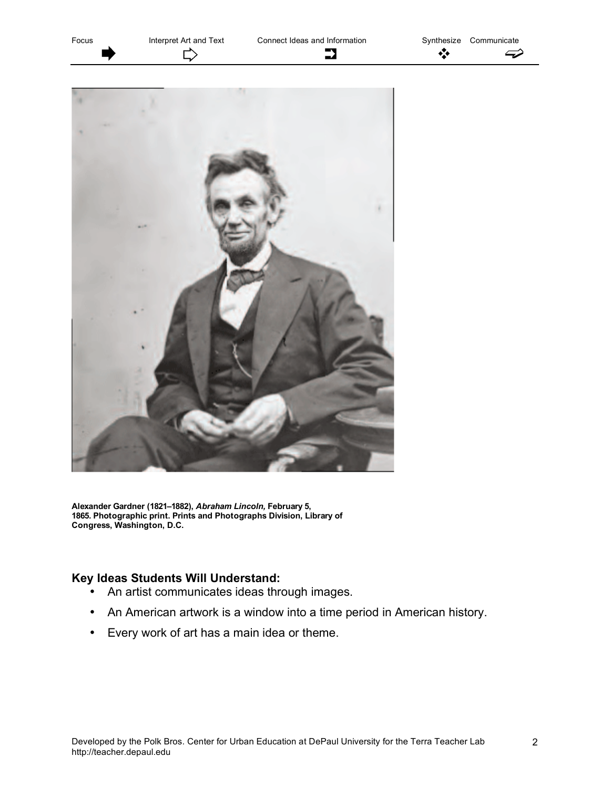Focus Interpret Art and Text Connect Ideas and Information Synthesize Communicate ₿ ❖  $\rightarrow$  $\boldsymbol{\curvearrowright}$ 



**Alexander Gardner (1821–1882),** *Abraham Lincoln,* **February 5, 1865. Photographic print. Prints and Photographs Division, Library of Congress, Washington, D.C.**

#### **Key Ideas Students Will Understand:**

- An artist communicates ideas through images.
- An American artwork is a window into a time period in American history.
- Every work of art has a main idea or theme.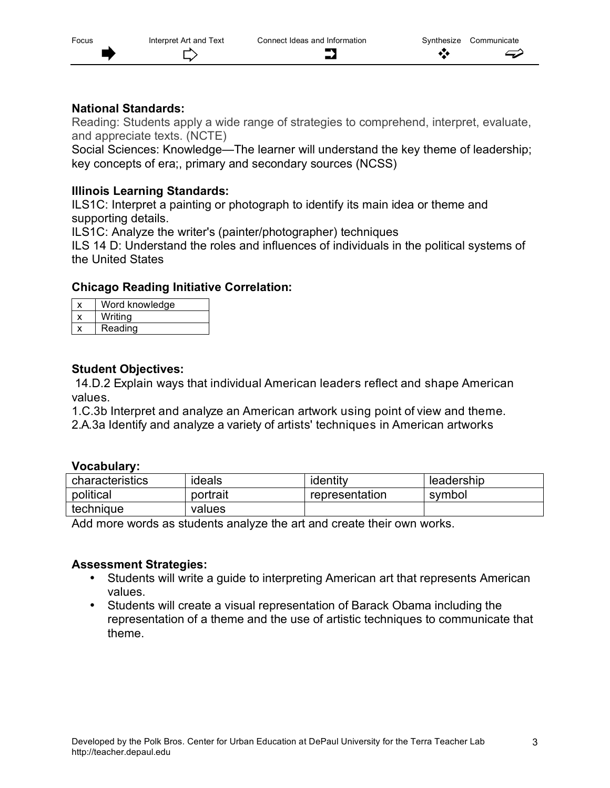# **National Standards:**

Reading: Students apply a wide range of strategies to comprehend, interpret, evaluate, and appreciate texts. (NCTE)

Social Sciences: Knowledge—The learner will understand the key theme of leadership; key concepts of era;, primary and secondary sources (NCSS)

# **Illinois Learning Standards:**

ILS1C: Interpret a painting or photograph to identify its main idea or theme and supporting details.

ILS1C: Analyze the writer's (painter/photographer) techniques

ILS 14 D: Understand the roles and influences of individuals in the political systems of the United States

# **Chicago Reading Initiative Correlation:**

| Word knowledge |
|----------------|
| Writina        |
| Reading        |

# **Student Objectives:**

14.D.2 Explain ways that individual American leaders reflect and shape American values.

1.C.3b Interpret and analyze an American artwork using point of view and theme.

2.A.3a Identify and analyze a variety of artists' techniques in American artworks

#### **Vocabulary:**

| characteristics | ideals   | identity       | leadership |  |  |
|-----------------|----------|----------------|------------|--|--|
| political       | portrait | representation | symbol     |  |  |
| technique       | values   |                |            |  |  |

Add more words as students analyze the art and create their own works.

# **Assessment Strategies:**

- Students will write a guide to interpreting American art that represents American values.
- Students will create a visual representation of Barack Obama including the representation of a theme and the use of artistic techniques to communicate that theme.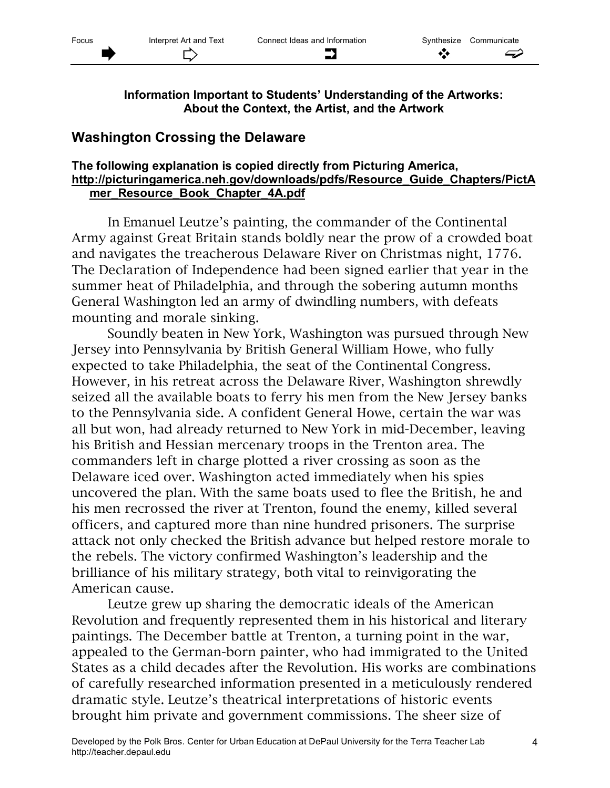**Information Important to Students' Understanding of the Artworks: About the Context, the Artist, and the Artwork**

# **Washington Crossing the Delaware**

#### **The following explanation is copied directly from Picturing America, http://picturingamerica.neh.gov/downloads/pdfs/Resource\_Guide\_Chapters/PictA mer\_Resource\_Book\_Chapter\_4A.pdf**

In Emanuel Leutze's painting, the commander of the Continental Army against Great Britain stands boldly near the prow of a crowded boat and navigates the treacherous Delaware River on Christmas night, 1776. The Declaration of Independence had been signed earlier that year in the summer heat of Philadelphia, and through the sobering autumn months General Washington led an army of dwindling numbers, with defeats mounting and morale sinking.

Soundly beaten in New York, Washington was pursued through New Jersey into Pennsylvania by British General William Howe, who fully expected to take Philadelphia, the seat of the Continental Congress. However, in his retreat across the Delaware River, Washington shrewdly seized all the available boats to ferry his men from the New Jersey banks to the Pennsylvania side. A confident General Howe, certain the war was all but won, had already returned to New York in mid-December, leaving his British and Hessian mercenary troops in the Trenton area. The commanders left in charge plotted a river crossing as soon as the Delaware iced over. Washington acted immediately when his spies uncovered the plan. With the same boats used to flee the British, he and his men recrossed the river at Trenton, found the enemy, killed several officers, and captured more than nine hundred prisoners. The surprise attack not only checked the British advance but helped restore morale to the rebels. The victory confirmed Washington's leadership and the brilliance of his military strategy, both vital to reinvigorating the American cause.

Leutze grew up sharing the democratic ideals of the American Revolution and frequently represented them in his historical and literary paintings. The December battle at Trenton, a turning point in the war, appealed to the German-born painter, who had immigrated to the United States as a child decades after the Revolution. His works are combinations of carefully researched information presented in a meticulously rendered dramatic style. Leutze's theatrical interpretations of historic events brought him private and government commissions. The sheer size of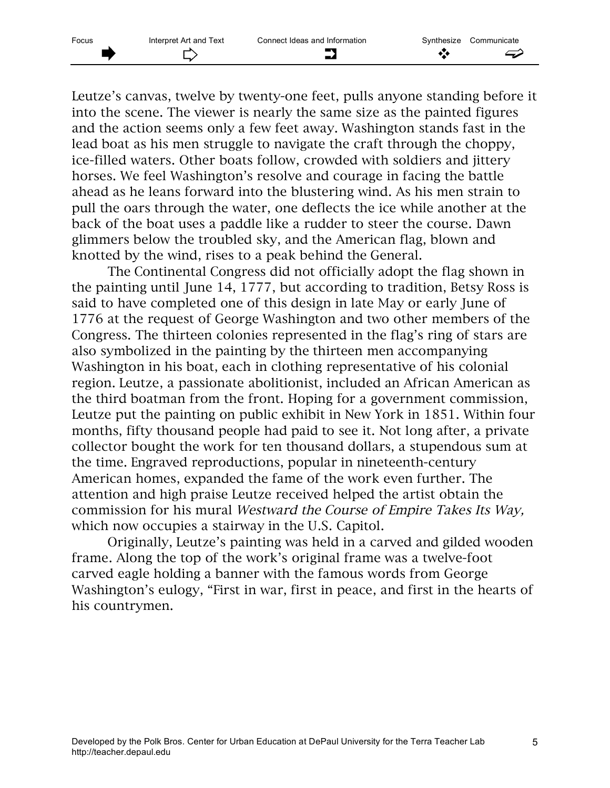Leutze's canvas, twelve by twenty-one feet, pulls anyone standing before it into the scene. The viewer is nearly the same size as the painted figures and the action seems only a few feet away. Washington stands fast in the lead boat as his men struggle to navigate the craft through the choppy, ice-filled waters. Other boats follow, crowded with soldiers and jittery horses. We feel Washington's resolve and courage in facing the battle ahead as he leans forward into the blustering wind. As his men strain to pull the oars through the water, one deflects the ice while another at the back of the boat uses a paddle like a rudder to steer the course. Dawn glimmers below the troubled sky, and the American flag, blown and knotted by the wind, rises to a peak behind the General.

The Continental Congress did not officially adopt the flag shown in the painting until June 14, 1777, but according to tradition, Betsy Ross is said to have completed one of this design in late May or early June of 1776 at the request of George Washington and two other members of the Congress. The thirteen colonies represented in the flag's ring of stars are also symbolized in the painting by the thirteen men accompanying Washington in his boat, each in clothing representative of his colonial region. Leutze, a passionate abolitionist, included an African American as the third boatman from the front. Hoping for a government commission, Leutze put the painting on public exhibit in New York in 1851. Within four months, fifty thousand people had paid to see it. Not long after, a private collector bought the work for ten thousand dollars, a stupendous sum at the time. Engraved reproductions, popular in nineteenth-century American homes, expanded the fame of the work even further. The attention and high praise Leutze received helped the artist obtain the commission for his mural Westward the Course of Empire Takes Its Way, which now occupies a stairway in the U.S. Capitol.

Originally, Leutze's painting was held in a carved and gilded wooden frame. Along the top of the work's original frame was a twelve-foot carved eagle holding a banner with the famous words from George Washington's eulogy, "First in war, first in peace, and first in the hearts of his countrymen.

5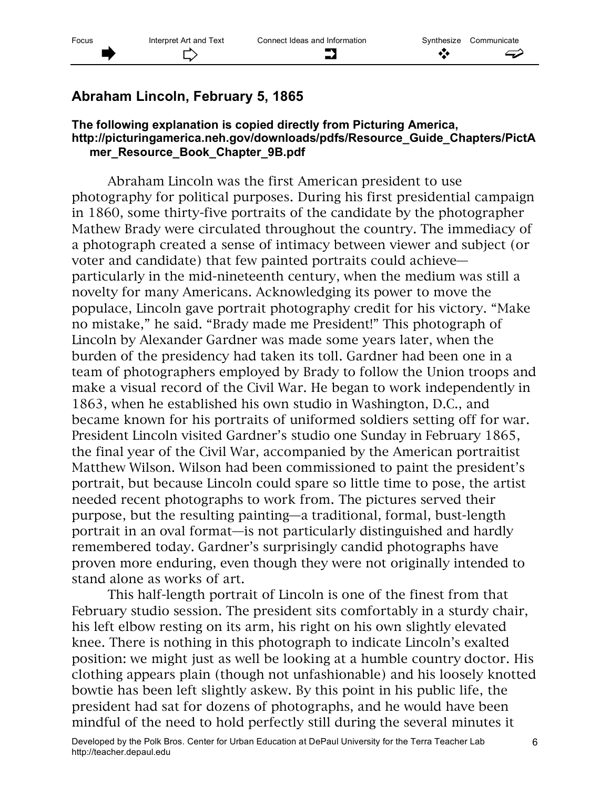# **Abraham Lincoln, February 5, 1865**

#### **The following explanation is copied directly from Picturing America, http://picturingamerica.neh.gov/downloads/pdfs/Resource\_Guide\_Chapters/PictA mer\_Resource\_Book\_Chapter\_9B.pdf**

Abraham Lincoln was the first American president to use photography for political purposes. During his first presidential campaign in 1860, some thirty-five portraits of the candidate by the photographer Mathew Brady were circulated throughout the country. The immediacy of a photograph created a sense of intimacy between viewer and subject (or voter and candidate) that few painted portraits could achieve particularly in the mid-nineteenth century, when the medium was still a novelty for many Americans. Acknowledging its power to move the populace, Lincoln gave portrait photography credit for his victory. "Make no mistake," he said. "Brady made me President!" This photograph of Lincoln by Alexander Gardner was made some years later, when the burden of the presidency had taken its toll. Gardner had been one in a team of photographers employed by Brady to follow the Union troops and make a visual record of the Civil War. He began to work independently in 1863, when he established his own studio in Washington, D.C., and became known for his portraits of uniformed soldiers setting off for war. President Lincoln visited Gardner's studio one Sunday in February 1865, the final year of the Civil War, accompanied by the American portraitist Matthew Wilson. Wilson had been commissioned to paint the president's portrait, but because Lincoln could spare so little time to pose, the artist needed recent photographs to work from. The pictures served their purpose, but the resulting painting—a traditional, formal, bust-length portrait in an oval format—is not particularly distinguished and hardly remembered today. Gardner's surprisingly candid photographs have proven more enduring, even though they were not originally intended to stand alone as works of art.

This half-length portrait of Lincoln is one of the finest from that February studio session. The president sits comfortably in a sturdy chair, his left elbow resting on its arm, his right on his own slightly elevated knee. There is nothing in this photograph to indicate Lincoln's exalted position: we might just as well be looking at a humble country doctor. His clothing appears plain (though not unfashionable) and his loosely knotted bowtie has been left slightly askew. By this point in his public life, the president had sat for dozens of photographs, and he would have been mindful of the need to hold perfectly still during the several minutes it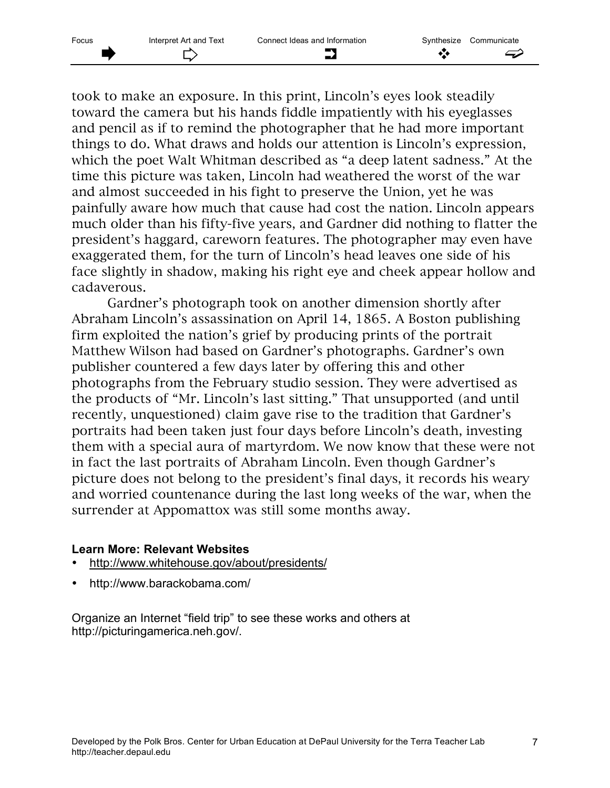took to make an exposure. In this print, Lincoln's eyes look steadily toward the camera but his hands fiddle impatiently with his eyeglasses and pencil as if to remind the photographer that he had more important things to do. What draws and holds our attention is Lincoln's expression, which the poet Walt Whitman described as "a deep latent sadness." At the time this picture was taken, Lincoln had weathered the worst of the war and almost succeeded in his fight to preserve the Union, yet he was painfully aware how much that cause had cost the nation. Lincoln appears much older than his fifty-five years, and Gardner did nothing to flatter the president's haggard, careworn features. The photographer may even have exaggerated them, for the turn of Lincoln's head leaves one side of his face slightly in shadow, making his right eye and cheek appear hollow and cadaverous.

Gardner's photograph took on another dimension shortly after Abraham Lincoln's assassination on April 14, 1865. A Boston publishing firm exploited the nation's grief by producing prints of the portrait Matthew Wilson had based on Gardner's photographs. Gardner's own publisher countered a few days later by offering this and other photographs from the February studio session. They were advertised as the products of "Mr. Lincoln's last sitting." That unsupported (and until recently, unquestioned) claim gave rise to the tradition that Gardner's portraits had been taken just four days before Lincoln's death, investing them with a special aura of martyrdom. We now know that these were not in fact the last portraits of Abraham Lincoln. Even though Gardner's picture does not belong to the president's final days, it records his weary and worried countenance during the last long weeks of the war, when the surrender at Appomattox was still some months away.

#### **Learn More: Relevant Websites**

- http://www.whitehouse.gov/about/presidents/
- http://www.barackobama.com/

Organize an Internet "field trip" to see these works and others at http://picturingamerica.neh.gov/.

7